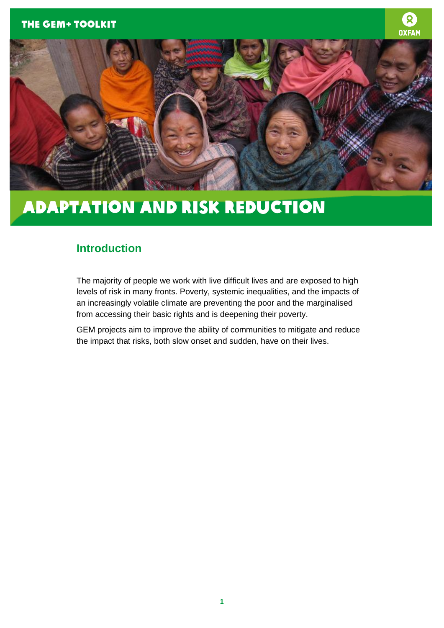



### Adaptation and Risk Reduction

### **Introduction**

The majority of people we work with live difficult lives and are exposed to high levels of risk in many fronts. Poverty, systemic inequalities, and the impacts of an increasingly volatile climate are preventing the poor and the marginalised from accessing their basic rights and is deepening their poverty.

GEM projects aim to improve the ability of communities to mitigate and reduce the impact that risks, both slow onset and sudden, have on their lives.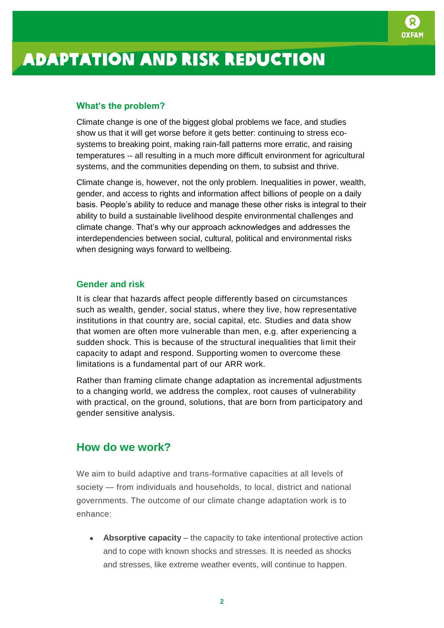

# Adaptation and risk reduction

#### **What's the problem?**

Climate change is one of the biggest global problems we face, and studies show us that it will get worse before it gets better: continuing to stress ecosystems to breaking point, making rain-fall patterns more erratic, and raising temperatures -- all resulting in a much more difficult environment for agricultural systems, and the communities depending on them, to subsist and thrive.

Climate change is, however, not the only problem. Inequalities in power, wealth, gender, and access to rights and information affect billions of people on a daily basis. People's ability to reduce and manage these other risks is integral to their ability to build a sustainable livelihood despite environmental challenges and climate change. That's why our approach acknowledges and addresses the interdependencies between social, cultural, political and environmental risks when designing ways forward to wellbeing.

#### **Gender and risk**

It is clear that hazards affect people differently based on circumstances such as wealth, gender, social status, where they live, how representative institutions in that country are, social capital, etc. Studies and data show that women are often more vulnerable than men, e.g. after experiencing a sudden shock. This is because of the structural inequalities that limit their capacity to adapt and respond. Supporting women to overcome these limitations is a fundamental part of our ARR work.

Rather than framing climate change adaptation as incremental adjustments to a changing world, we address the complex, root causes of vulnerability with practical, on the ground, solutions, that are born from participatory and gender sensitive analysis.

#### **How do we work?**

We aim to build adaptive and trans-formative capacities at all levels of society — from individuals and households, to local, district and national governments. The outcome of our climate change adaptation work is to enhance:

**Absorptive capacity** – the capacity to take intentional protective action and to cope with known shocks and stresses. It is needed as shocks and stresses, like extreme weather events, will continue to happen.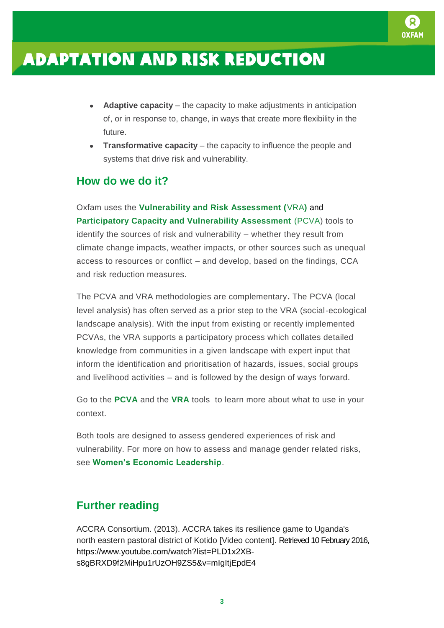

## Adaptation and risk reduction

- **Adaptive capacity** the capacity to make adjustments in anticipation of, or in response to, change, in ways that create more flexibility in the future.
- **Transformative capacity** the capacity to influence the people and systems that drive risk and vulnerability.

### **How do we do it?**

Oxfam uses the **[Vulnerability and Risk Assessment \(](http://growsellthrive.org/page/vulnerability-and-risk-assessment-vra)**VRA**)** and **[Participatory Capacity and Vulnerability Assessment](http://growsellthrive.org/page/vulnerability-and-risk-assessment-vra)** (PCVA) tools to identify the sources of risk and vulnerability – whether they result from climate change impacts, weather impacts, or other sources such as unequal access to resources or conflict – and develop, based on the findings, CCA and risk reduction measures.

The PCVA and VRA methodologies are complementary**.** The PCVA (local level analysis) has often served as a prior step to the VRA (social-ecological landscape analysis). With the input from existing or recently implemented PCVAs, the VRA supports a participatory process which collates detailed knowledge from communities in a given landscape with expert input that inform the identification and prioritisation of hazards, issues, social groups and livelihood activities – and is followed by the design of ways forward.

Go to the **[PCVA](http://gemtoolkit.org/toolkit/participatory-capacity-vulnerability-analysis/)** and the **[VRA](http://gemtoolkit.org/toolkit/vulnerability-and-risk-assessment/)** tools to learn more about what to use in your context.

Both tools are designed to assess gendered experiences of risk and vulnerability. For more on how to assess and manage gender related risks, see **[Women's Economic Leadership](http://gemtoolkit.org/theme/womens-economic-leadership/)**.

#### **Further reading**

ACCRA Consortium. (2013). ACCRA takes its resilience game to Uganda's north eastern pastoral district of Kotido [Video content]. Retrieved 10 February 2016, https://www.youtube.com/watch?list=PLD1x2XBs8gBRXD9f2MiHpu1rUzOH9ZS5&v=mIgItjEpdE4